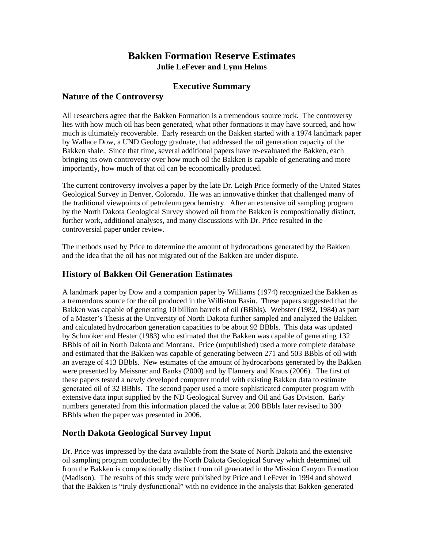# **Bakken Formation Reserve Estimates Julie LeFever and Lynn Helms**

## **Executive Summary**

#### **Nature of the Controversy**

All researchers agree that the Bakken Formation is a tremendous source rock. The controversy lies with how much oil has been generated, what other formations it may have sourced, and how much is ultimately recoverable. Early research on the Bakken started with a 1974 landmark paper by Wallace Dow, a UND Geology graduate, that addressed the oil generation capacity of the Bakken shale. Since that time, several additional papers have re-evaluated the Bakken, each bringing its own controversy over how much oil the Bakken is capable of generating and more importantly, how much of that oil can be economically produced.

The current controversy involves a paper by the late Dr. Leigh Price formerly of the United States Geological Survey in Denver, Colorado. He was an innovative thinker that challenged many of the traditional viewpoints of petroleum geochemistry. After an extensive oil sampling program by the North Dakota Geological Survey showed oil from the Bakken is compositionally distinct, further work, additional analyses, and many discussions with Dr. Price resulted in the controversial paper under review.

The methods used by Price to determine the amount of hydrocarbons generated by the Bakken and the idea that the oil has not migrated out of the Bakken are under dispute.

## **History of Bakken Oil Generation Estimates**

A landmark paper by Dow and a companion paper by Williams (1974) recognized the Bakken as a tremendous source for the oil produced in the Williston Basin. These papers suggested that the Bakken was capable of generating 10 billion barrels of oil (BBbls). Webster (1982, 1984) as part of a Master's Thesis at the University of North Dakota further sampled and analyzed the Bakken and calculated hydrocarbon generation capacities to be about 92 BBbls. This data was updated by Schmoker and Hester (1983) who estimated that the Bakken was capable of generating 132 BBbls of oil in North Dakota and Montana. Price (unpublished) used a more complete database and estimated that the Bakken was capable of generating between 271 and 503 BBbls of oil with an average of 413 BBbls. New estimates of the amount of hydrocarbons generated by the Bakken were presented by Meissner and Banks (2000) and by Flannery and Kraus (2006). The first of these papers tested a newly developed computer model with existing Bakken data to estimate generated oil of 32 BBbls. The second paper used a more sophisticated computer program with extensive data input supplied by the ND Geological Survey and Oil and Gas Division. Early numbers generated from this information placed the value at 200 BBbls later revised to 300 BBbls when the paper was presented in 2006.

# **North Dakota Geological Survey Input**

Dr. Price was impressed by the data available from the State of North Dakota and the extensive oil sampling program conducted by the North Dakota Geological Survey which determined oil from the Bakken is compositionally distinct from oil generated in the Mission Canyon Formation (Madison). The results of this study were published by Price and LeFever in 1994 and showed that the Bakken is "truly dysfunctional" with no evidence in the analysis that Bakken-generated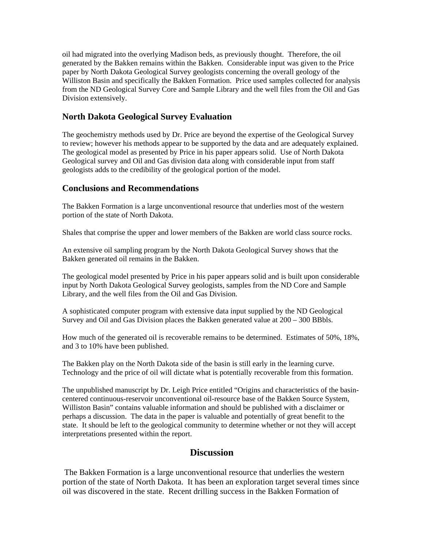oil had migrated into the overlying Madison beds, as previously thought. Therefore, the oil generated by the Bakken remains within the Bakken. Considerable input was given to the Price paper by North Dakota Geological Survey geologists concerning the overall geology of the Williston Basin and specifically the Bakken Formation. Price used samples collected for analysis from the ND Geological Survey Core and Sample Library and the well files from the Oil and Gas Division extensively.

#### **North Dakota Geological Survey Evaluation**

The geochemistry methods used by Dr. Price are beyond the expertise of the Geological Survey to review; however his methods appear to be supported by the data and are adequately explained. The geological model as presented by Price in his paper appears solid. Use of North Dakota Geological survey and Oil and Gas division data along with considerable input from staff geologists adds to the credibility of the geological portion of the model.

## **Conclusions and Recommendations**

The Bakken Formation is a large unconventional resource that underlies most of the western portion of the state of North Dakota.

Shales that comprise the upper and lower members of the Bakken are world class source rocks.

An extensive oil sampling program by the North Dakota Geological Survey shows that the Bakken generated oil remains in the Bakken.

The geological model presented by Price in his paper appears solid and is built upon considerable input by North Dakota Geological Survey geologists, samples from the ND Core and Sample Library, and the well files from the Oil and Gas Division.

A sophisticated computer program with extensive data input supplied by the ND Geological Survey and Oil and Gas Division places the Bakken generated value at 200 – 300 BBbls.

How much of the generated oil is recoverable remains to be determined. Estimates of 50%, 18%, and 3 to 10% have been published.

The Bakken play on the North Dakota side of the basin is still early in the learning curve. Technology and the price of oil will dictate what is potentially recoverable from this formation.

The unpublished manuscript by Dr. Leigh Price entitled "Origins and characteristics of the basincentered continuous-reservoir unconventional oil-resource base of the Bakken Source System, Williston Basin" contains valuable information and should be published with a disclaimer or perhaps a discussion. The data in the paper is valuable and potentially of great benefit to the state. It should be left to the geological community to determine whether or not they will accept interpretations presented within the report.

# **Discussion**

 The Bakken Formation is a large unconventional resource that underlies the western portion of the state of North Dakota. It has been an exploration target several times since oil was discovered in the state. Recent drilling success in the Bakken Formation of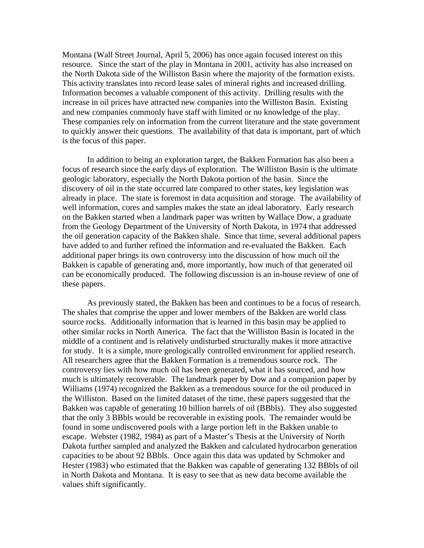Montana (Wall Street Journal, April 5, 2006) has once again focused interest on this resource. Since the start of the play in Montana in 2001, activity has also increased on the North Dakota side of the Williston Basin where the majority of the formation exists. This activity translates into record lease sales of mineral rights and increased drilling. Information becomes a valuable component of this activity. Drilling results with the increase in oil prices have attracted new companies into the Williston Basin. Existing and new companies commonly have staff with limited or no knowledge of the play. These companies rely on information from the current literature and the state government to quickly answer their questions. The availability of that data is important, part of which is the focus of this paper.

In addition to being an exploration target, the Bakken Formation has also been a focus of research since the early days of exploration. The Williston Basin is the ultimate geologic laboratory, especially the North Dakota portion of the basin. Since the discovery of oil in the state occurred late compared to other states, key legislation was already in place. The state is foremost in data acquisition and storage. The availability of well information, cores and samples makes the state an ideal laboratory. Early research on the Bakken started when a landmark paper was written by Wallace Dow, a graduate from the Geology Department of the University of North Dakota, in 1974 that addressed the oil generation capacity of the Bakken shale. Since that time, several additional papers have added to and further refined the information and re-evaluated the Bakken. Each additional paper brings its own controversy into the discussion of how much oil the Bakken is capable of generating and, more importantly, how much of that generated oil can be economically produced. The following discussion is an in-house review of one of these papers.

As previously stated, the Bakken has been and continues to be a focus of research. The shales that comprise the upper and lower members of the Bakken are world class source rocks. Additionally information that is learned in this basin may be applied to other similar rocks in North America. The fact that the Williston Basin is located in the middle of a continent and is relatively undisturbed structurally makes it more attractive for study. It is a simple, more geologically controlled environment for applied research. All researchers agree that the Bakken Formation is a tremendous source rock. The controversy lies with how much oil has been generated, what it has sourced, and how much is ultimately recoverable. The landmark paper by Dow and a companion paper by Williams (1974) recognized the Bakken as a tremendous source for the oil produced in the Williston. Based on the limited dataset of the time, these papers suggested that the Bakken was capable of generating 10 billion barrels of oil (BBbls). They also suggested that the only 3 BBbls would be recoverable in existing pools. The remainder would be found in some undiscovered pools with a large portion left in the Bakken unable to escape. Webster (1982, 1984) as part of a Master's Thesis at the University of North Dakota further sampled and analyzed the Bakken and calculated hydrocarbon generation capacities to be about 92 BBbls. Once again this data was updated by Schmoker and Hester (1983) who estimated that the Bakken was capable of generating 132 BBbls of oil in North Dakota and Montana. It is easy to see that as new data become available the values shift significantly.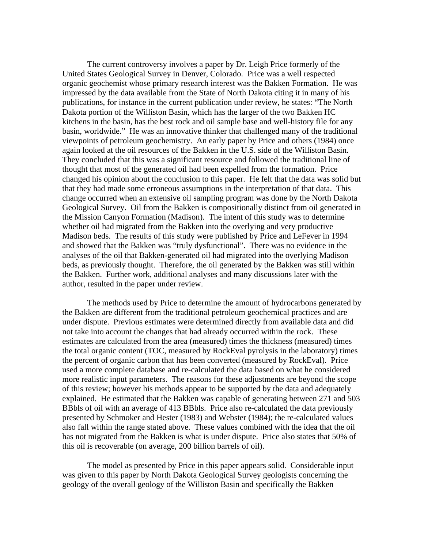The current controversy involves a paper by Dr. Leigh Price formerly of the United States Geological Survey in Denver, Colorado. Price was a well respected organic geochemist whose primary research interest was the Bakken Formation. He was impressed by the data available from the State of North Dakota citing it in many of his publications, for instance in the current publication under review, he states: "The North Dakota portion of the Williston Basin, which has the larger of the two Bakken HC kitchens in the basin, has the best rock and oil sample base and well-history file for any basin, worldwide." He was an innovative thinker that challenged many of the traditional viewpoints of petroleum geochemistry. An early paper by Price and others (1984) once again looked at the oil resources of the Bakken in the U.S. side of the Williston Basin. They concluded that this was a significant resource and followed the traditional line of thought that most of the generated oil had been expelled from the formation. Price changed his opinion about the conclusion to this paper. He felt that the data was solid but that they had made some erroneous assumptions in the interpretation of that data. This change occurred when an extensive oil sampling program was done by the North Dakota Geological Survey. Oil from the Bakken is compositionally distinct from oil generated in the Mission Canyon Formation (Madison). The intent of this study was to determine whether oil had migrated from the Bakken into the overlying and very productive Madison beds. The results of this study were published by Price and LeFever in 1994 and showed that the Bakken was "truly dysfunctional". There was no evidence in the analyses of the oil that Bakken-generated oil had migrated into the overlying Madison beds, as previously thought. Therefore, the oil generated by the Bakken was still within the Bakken. Further work, additional analyses and many discussions later with the author, resulted in the paper under review.

The methods used by Price to determine the amount of hydrocarbons generated by the Bakken are different from the traditional petroleum geochemical practices and are under dispute. Previous estimates were determined directly from available data and did not take into account the changes that had already occurred within the rock. These estimates are calculated from the area (measured) times the thickness (measured) times the total organic content (TOC, measured by RockEval pyrolysis in the laboratory) times the percent of organic carbon that has been converted (measured by RockEval). Price used a more complete database and re-calculated the data based on what he considered more realistic input parameters. The reasons for these adjustments are beyond the scope of this review; however his methods appear to be supported by the data and adequately explained. He estimated that the Bakken was capable of generating between 271 and 503 BBbls of oil with an average of 413 BBbls. Price also re-calculated the data previously presented by Schmoker and Hester (1983) and Webster (1984); the re-calculated values also fall within the range stated above. These values combined with the idea that the oil has not migrated from the Bakken is what is under dispute. Price also states that 50% of this oil is recoverable (on average, 200 billion barrels of oil).

The model as presented by Price in this paper appears solid. Considerable input was given to this paper by North Dakota Geological Survey geologists concerning the geology of the overall geology of the Williston Basin and specifically the Bakken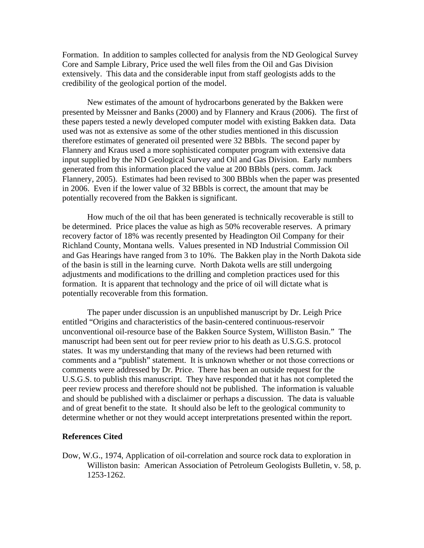Formation. In addition to samples collected for analysis from the ND Geological Survey Core and Sample Library, Price used the well files from the Oil and Gas Division extensively. This data and the considerable input from staff geologists adds to the credibility of the geological portion of the model.

New estimates of the amount of hydrocarbons generated by the Bakken were presented by Meissner and Banks (2000) and by Flannery and Kraus (2006). The first of these papers tested a newly developed computer model with existing Bakken data. Data used was not as extensive as some of the other studies mentioned in this discussion therefore estimates of generated oil presented were 32 BBbls. The second paper by Flannery and Kraus used a more sophisticated computer program with extensive data input supplied by the ND Geological Survey and Oil and Gas Division. Early numbers generated from this information placed the value at 200 BBbls (pers. comm. Jack Flannery, 2005). Estimates had been revised to 300 BBbls when the paper was presented in 2006. Even if the lower value of 32 BBbls is correct, the amount that may be potentially recovered from the Bakken is significant.

How much of the oil that has been generated is technically recoverable is still to be determined. Price places the value as high as 50% recoverable reserves. A primary recovery factor of 18% was recently presented by Headington Oil Company for their Richland County, Montana wells. Values presented in ND Industrial Commission Oil and Gas Hearings have ranged from 3 to 10%. The Bakken play in the North Dakota side of the basin is still in the learning curve. North Dakota wells are still undergoing adjustments and modifications to the drilling and completion practices used for this formation. It is apparent that technology and the price of oil will dictate what is potentially recoverable from this formation.

The paper under discussion is an unpublished manuscript by Dr. Leigh Price entitled "Origins and characteristics of the basin-centered continuous-reservoir unconventional oil-resource base of the Bakken Source System, Williston Basin." The manuscript had been sent out for peer review prior to his death as U.S.G.S. protocol states. It was my understanding that many of the reviews had been returned with comments and a "publish" statement. It is unknown whether or not those corrections or comments were addressed by Dr. Price. There has been an outside request for the U.S.G.S. to publish this manuscript. They have responded that it has not completed the peer review process and therefore should not be published. The information is valuable and should be published with a disclaimer or perhaps a discussion. The data is valuable and of great benefit to the state. It should also be left to the geological community to determine whether or not they would accept interpretations presented within the report.

#### **References Cited**

Dow, W.G., 1974, Application of oil-correlation and source rock data to exploration in Williston basin: American Association of Petroleum Geologists Bulletin, v. 58, p. 1253-1262.